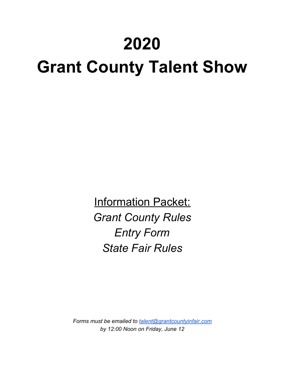# **2020**

# **Grant County Talent Show**

**Information Packet:** *Grant County Rules Entry Form State Fair Rules*

*Forms must be emailed to [talent@grantcountyinfair.com](mailto:talent@grantcountyinfair.com) by 12:00 Noon on Friday, June 12*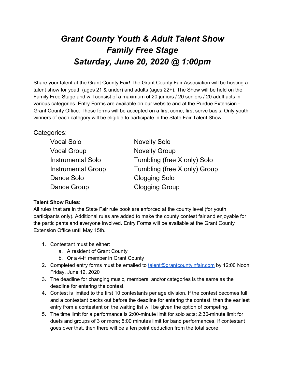## *Grant County Youth & Adult Talent Show Family Free Stage Saturday, June 20, 2020 @ 1:00pm*

Share your talent at the Grant County Fair! The Grant County Fair Association will be hosting a talent show for youth (ages 21 & under) and adults (ages 22+). The Show will be held on the Family Free Stage and will consist of a maximum of 20 juniors / 20 seniors / 20 adult acts in various categories. Entry Forms are available on our website and at the Purdue Extension - Grant County Office. These forms will be accepted on a first come, first serve basis. Only youth winners of each category will be eligible to participate in the State Fair Talent Show.

### Categories:

| <b>Vocal Solo</b>         | <b>Novelty Solo</b>          |
|---------------------------|------------------------------|
| <b>Vocal Group</b>        | <b>Novelty Group</b>         |
| <b>Instrumental Solo</b>  | Tumbling (free X only) Solo  |
| <b>Instrumental Group</b> | Tumbling (free X only) Group |
| Dance Solo                | <b>Clogging Solo</b>         |
| Dance Group               | <b>Clogging Group</b>        |

### **Talent Show Rules:**

All rules that are in the State Fair rule book are enforced at the county level (for youth participants only). Additional rules are added to make the county contest fair and enjoyable for the participants and everyone involved. Entry Forms will be available at the Grant County Extension Office until May 15th.

- 1. Contestant must be either:
	- a. A resident of Grant County
	- b. Or a 4-H member in Grant County
- 2. Completed entry forms must be emailed to [talent@grantcountyinfair.com](mailto:talent@grantcountyinfair.com) by 12:00 Noon Friday, June 12, 2020
- 3. The deadline for changing music, members, and/or categories is the same as the deadline for entering the contest.
- 4. Contest is limited to the first 10 contestants per age division. If the contest becomes full and a contestant backs out before the deadline for entering the contest, then the earliest entry from a contestant on the waiting list will be given the option of competing.
- 5. The time limit for a performance is 2:00-minute limit for solo acts; 2:30-minute limit for duets and groups of 3 or more; 5:00 minutes limit for band performances. If contestant goes over that, then there will be a ten point deduction from the total score.